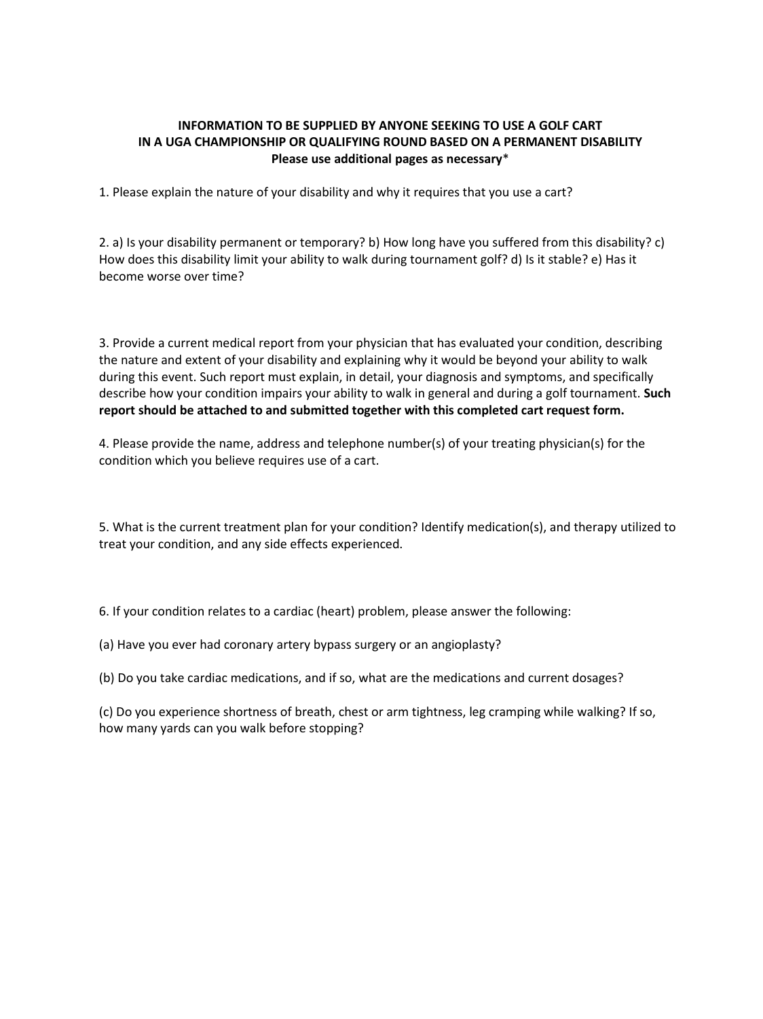## **INFORMATION TO BE SUPPLIED BY ANYONE SEEKING TO USE A GOLF CART IN A UGA CHAMPIONSHIP OR QUALIFYING ROUND BASED ON A PERMANENT DISABILITY Please use additional pages as necessary**\*

1. Please explain the nature of your disability and why it requires that you use a cart?

2. a) Is your disability permanent or temporary? b) How long have you suffered from this disability? c) How does this disability limit your ability to walk during tournament golf? d) Is it stable? e) Has it become worse over time?

3. Provide a current medical report from your physician that has evaluated your condition, describing the nature and extent of your disability and explaining why it would be beyond your ability to walk during this event. Such report must explain, in detail, your diagnosis and symptoms, and specifically describe how your condition impairs your ability to walk in general and during a golf tournament. **Such report should be attached to and submitted together with this completed cart request form.** 

4. Please provide the name, address and telephone number(s) of your treating physician(s) for the condition which you believe requires use of a cart.

5. What is the current treatment plan for your condition? Identify medication(s), and therapy utilized to treat your condition, and any side effects experienced.

6. If your condition relates to a cardiac (heart) problem, please answer the following:

(a) Have you ever had coronary artery bypass surgery or an angioplasty?

(b) Do you take cardiac medications, and if so, what are the medications and current dosages?

(c) Do you experience shortness of breath, chest or arm tightness, leg cramping while walking? If so, how many yards can you walk before stopping?